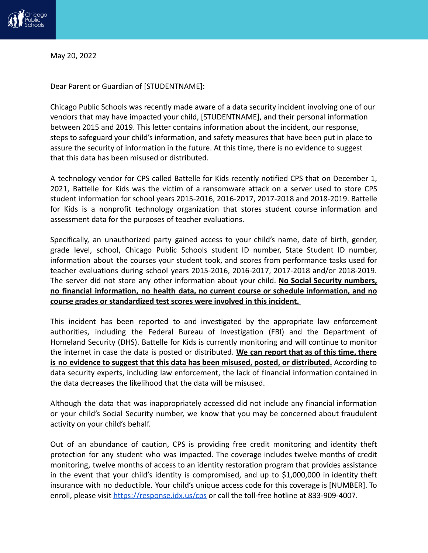

May 20, 2022

Dear Parent or Guardian of [STUDENTNAME]:

Chicago Public Schools was recently made aware of a data security incident involving one of our vendors that may have impacted your child, [STUDENTNAME], and their personal information between 2015 and 2019. This letter contains information about the incident, our response, steps to safeguard your child's information, and safety measures that have been put in place to assure the security of information in the future. At this time, there is no evidence to suggest that this data has been misused or distributed.

A technology vendor for CPS called Battelle for Kids recently notified CPS that on December 1, 2021, Battelle for Kids was the victim of a ransomware attack on a server used to store CPS student information for school years 2015-2016, 2016-2017, 2017-2018 and 2018-2019. Battelle for Kids is a nonprofit technology organization that stores student course information and assessment data for the purposes of teacher evaluations.

Specifically, an unauthorized party gained access to your child's name, date of birth, gender, grade level, school, Chicago Public Schools student ID number, State Student ID number, information about the courses your student took, and scores from performance tasks used for teacher evaluations during school years 2015-2016, 2016-2017, 2017-2018 and/or 2018-2019. The server did not store any other information about your child. **No Social Security numbers, no financial information, no health data, no current course or schedule information, and no course grades or standardized test scores were involved in this incident.**

This incident has been reported to and investigated by the appropriate law enforcement authorities, including the Federal Bureau of Investigation (FBI) and the Department of Homeland Security (DHS). Battelle for Kids is currently monitoring and will continue to monitor the internet in case the data is posted or distributed. **We can report that as of this time, there is no evidence to suggest that this data has been misused, posted, or distributed.** According to data security experts, including law enforcement, the lack of financial information contained in the data decreases the likelihood that the data will be misused.

Although the data that was inappropriately accessed did not include any financial information or your child's Social Security number, we know that you may be concerned about fraudulent activity on your child's behalf.

Out of an abundance of caution, CPS is providing free credit monitoring and identity theft protection for any student who was impacted. The coverage includes twelve months of credit monitoring, twelve months of access to an identity restoration program that provides assistance in the event that your child's identity is compromised, and up to \$1,000,000 in identity theft insurance with no deductible. Your child's unique access code for this coverage is [NUMBER]. To enroll, please visit [https://response.idx.us/cps](https://response.idx.us/cps/) or call the toll-free hotline at 833-909-4007.